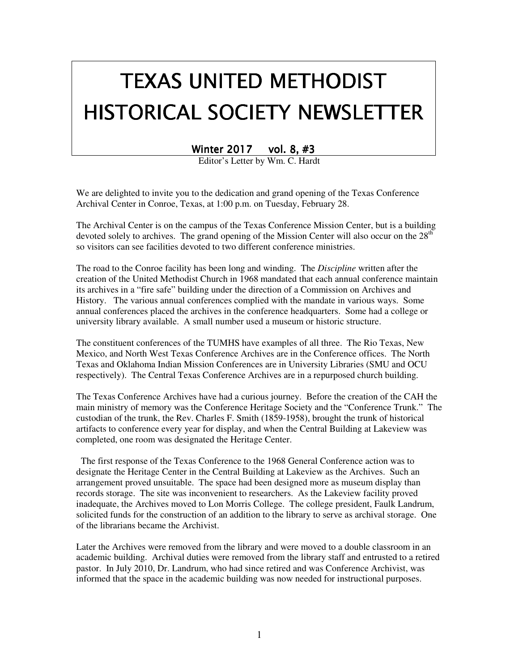# TEXAS UNITED METHODIST HISTORICAL SOCIETY NEWSLETTER

Winter 2017 vol. 8, #3

Editor's Letter by Wm. C. Hardt

We are delighted to invite you to the dedication and grand opening of the Texas Conference Archival Center in Conroe, Texas, at 1:00 p.m. on Tuesday, February 28.

The Archival Center is on the campus of the Texas Conference Mission Center, but is a building devoted solely to archives. The grand opening of the Mission Center will also occur on the  $28<sup>th</sup>$ so visitors can see facilities devoted to two different conference ministries.

The road to the Conroe facility has been long and winding. The *Discipline* written after the creation of the United Methodist Church in 1968 mandated that each annual conference maintain its archives in a "fire safe" building under the direction of a Commission on Archives and History. The various annual conferences complied with the mandate in various ways. Some annual conferences placed the archives in the conference headquarters. Some had a college or university library available. A small number used a museum or historic structure.

The constituent conferences of the TUMHS have examples of all three. The Rio Texas, New Mexico, and North West Texas Conference Archives are in the Conference offices. The North Texas and Oklahoma Indian Mission Conferences are in University Libraries (SMU and OCU respectively). The Central Texas Conference Archives are in a repurposed church building.

The Texas Conference Archives have had a curious journey. Before the creation of the CAH the main ministry of memory was the Conference Heritage Society and the "Conference Trunk." The custodian of the trunk, the Rev. Charles F. Smith (1859-1958), brought the trunk of historical artifacts to conference every year for display, and when the Central Building at Lakeview was completed, one room was designated the Heritage Center.

 The first response of the Texas Conference to the 1968 General Conference action was to designate the Heritage Center in the Central Building at Lakeview as the Archives. Such an arrangement proved unsuitable. The space had been designed more as museum display than records storage. The site was inconvenient to researchers. As the Lakeview facility proved inadequate, the Archives moved to Lon Morris College. The college president, Faulk Landrum, solicited funds for the construction of an addition to the library to serve as archival storage. One of the librarians became the Archivist.

Later the Archives were removed from the library and were moved to a double classroom in an academic building. Archival duties were removed from the library staff and entrusted to a retired pastor. In July 2010, Dr. Landrum, who had since retired and was Conference Archivist, was informed that the space in the academic building was now needed for instructional purposes.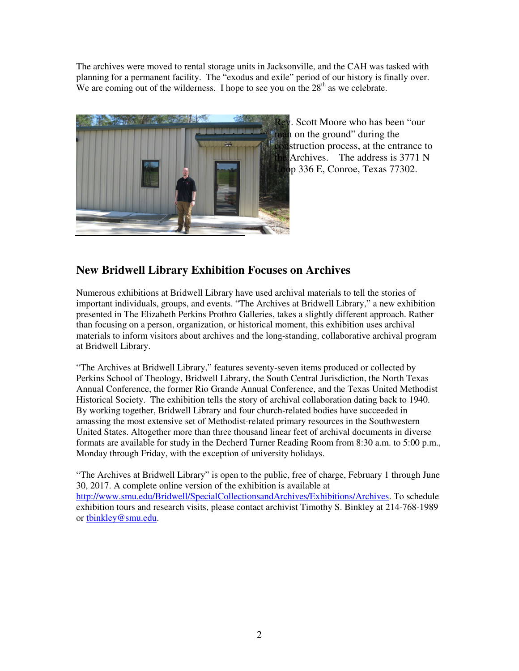The archives were moved to rental storage units in Jacksonville, and the CAH was tasked with planning for a permanent facility. The "exodus and exile" period of our history is finally over. We are coming out of the wilderness. I hope to see you on the  $28<sup>th</sup>$  as we celebrate.



Rev. Scott Moore who has been "our man on the ground" during the struction process, at the entrance to Archives. The address is 3771 N  $\bullet$ p 336 E, Conroe, Texas 77302.

# **New Bridwell Library Exhibition Focuses on Archives**

Numerous exhibitions at Bridwell Library have used archival materials to tell the stories of important individuals, groups, and events. "The Archives at Bridwell Library," a new exhibition presented in The Elizabeth Perkins Prothro Galleries, takes a slightly different approach. Rather than focusing on a person, organization, or historical moment, this exhibition uses archival materials to inform visitors about archives and the long-standing, collaborative archival program at Bridwell Library.

"The Archives at Bridwell Library," features seventy-seven items produced or collected by Perkins School of Theology, Bridwell Library, the South Central Jurisdiction, the North Texas Annual Conference, the former Rio Grande Annual Conference, and the Texas United Methodist Historical Society. The exhibition tells the story of archival collaboration dating back to 1940. By working together, Bridwell Library and four church-related bodies have succeeded in amassing the most extensive set of Methodist-related primary resources in the Southwestern United States. Altogether more than three thousand linear feet of archival documents in diverse formats are available for study in the Decherd Turner Reading Room from 8:30 a.m. to 5:00 p.m., Monday through Friday, with the exception of university holidays.

"The Archives at Bridwell Library" is open to the public, free of charge, February 1 through June 30, 2017. A complete online version of the exhibition is available at http://www.smu.edu/Bridwell/SpecialCollectionsandArchives/Exhibitions/Archives. To schedule exhibition tours and research visits, please contact archivist Timothy S. Binkley at 214-768-1989 or tbinkley@smu.edu.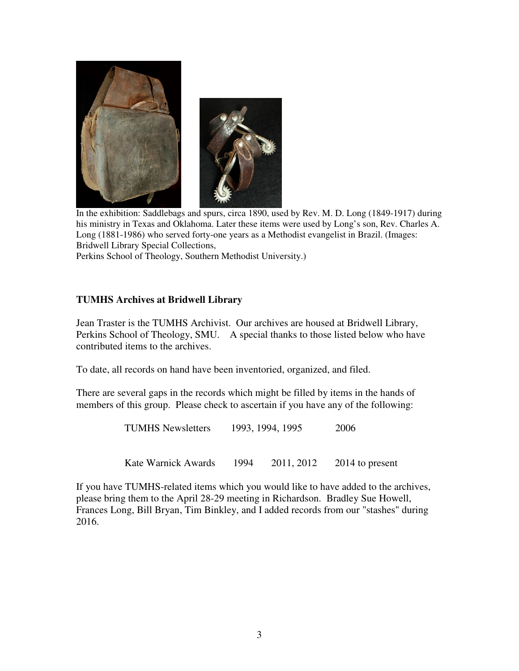

In the exhibition: Saddlebags and spurs, circa 1890, used by Rev. M. D. Long (1849-1917) during his ministry in Texas and Oklahoma. Later these items were used by Long's son, Rev. Charles A. Long (1881-1986) who served forty-one years as a Methodist evangelist in Brazil. (Images: Bridwell Library Special Collections,

Perkins School of Theology, Southern Methodist University.)

#### **TUMHS Archives at Bridwell Library**

Jean Traster is the TUMHS Archivist. Our archives are housed at Bridwell Library, Perkins School of Theology, SMU. A special thanks to those listed below who have contributed items to the archives.

To date, all records on hand have been inventoried, organized, and filed.

There are several gaps in the records which might be filled by items in the hands of members of this group. Please check to ascertain if you have any of the following:

TUMHS Newsletters 1993, 1994, 1995 2006

Kate Warnick Awards 1994 2011, 2012 2014 to present

If you have TUMHS-related items which you would like to have added to the archives, please bring them to the April 28-29 meeting in Richardson. Bradley Sue Howell, Frances Long, Bill Bryan, Tim Binkley, and I added records from our "stashes" during 2016.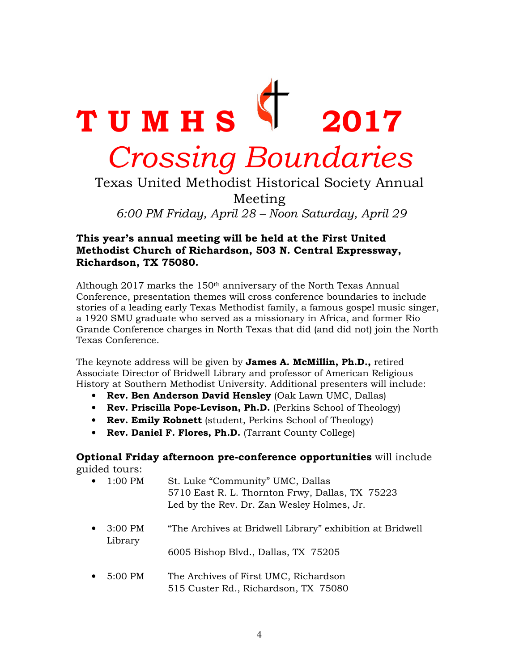

6:00 PM Friday, April 28 – Noon Saturday, April 29

#### This year's annual meeting will be held at the First United Methodist Church of Richardson, 503 N. Central Expressway, Richardson, TX 75080.

Although 2017 marks the  $150<sup>th</sup>$  anniversary of the North Texas Annual Conference, presentation themes will cross conference boundaries to include stories of a leading early Texas Methodist family, a famous gospel music singer, a 1920 SMU graduate who served as a missionary in Africa, and former Rio Grande Conference charges in North Texas that did (and did not) join the North Texas Conference.

The keynote address will be given by **James A. McMillin, Ph.D.**, retired Associate Director of Bridwell Library and professor of American Religious History at Southern Methodist University. Additional presenters will include:

- Rev. Ben Anderson David Hensley (Oak Lawn UMC, Dallas)
- Rev. Priscilla Pope-Levison, Ph.D. (Perkins School of Theology)
- Rev. Emily Robnett (student, Perkins School of Theology)
- Rev. Daniel F. Flores, Ph.D. (Tarrant County College)

#### Optional Friday afternoon pre-conference opportunities will include guided tours:

• 1:00 PM St. Luke "Community" UMC, Dallas 5710 East R. L. Thornton Frwy, Dallas, TX 75223 Led by the Rev. Dr. Zan Wesley Holmes, Jr.

- 3:00 PM "The Archives at Bridwell Library" exhibition at Bridwell Library 6005 Bishop Blvd., Dallas, TX 75205
- 5:00 PM The Archives of First UMC, Richardson 515 Custer Rd., Richardson, TX 75080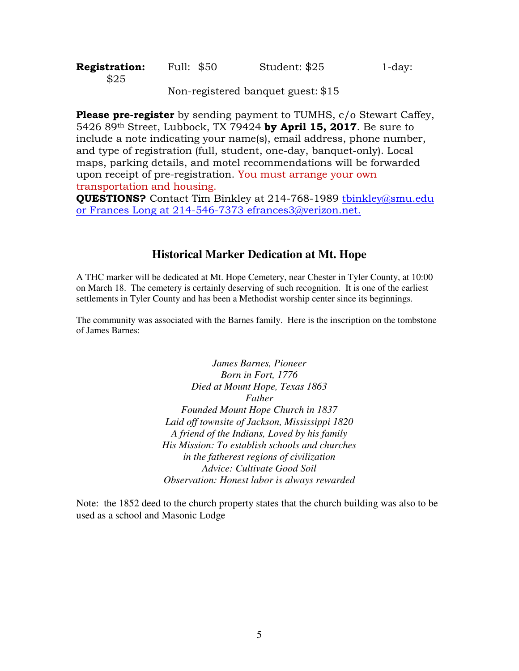| <b>Registration:</b> | Full: \$50 | Student: \$25 | $1$ -day: |
|----------------------|------------|---------------|-----------|
| \$25                 |            |               |           |

Non-registered banquet guest: \$15

**Please pre-register** by sending payment to TUMHS, c/o Stewart Caffey, 5426 89<sup>th</sup> Street, Lubbock, TX 79424 by April 15, 2017. Be sure to include a note indicating your name(s), email address, phone number, and type of registration (full, student, one-day, banquet-only). Local maps, parking details, and motel recommendations will be forwarded upon receipt of pre-registration. You must arrange your own transportation and housing.

QUESTIONS? Contact Tim Binkley at 214-768-1989 tbinkley@smu.edu or Frances Long at 214-546-7373 efrances3@verizon.net.

## **Historical Marker Dedication at Mt. Hope**

A THC marker will be dedicated at Mt. Hope Cemetery, near Chester in Tyler County, at 10:00 on March 18. The cemetery is certainly deserving of such recognition. It is one of the earliest settlements in Tyler County and has been a Methodist worship center since its beginnings.

The community was associated with the Barnes family. Here is the inscription on the tombstone of James Barnes:

> *James Barnes, Pioneer Born in Fort, 1776 Died at Mount Hope, Texas 1863 Father Founded Mount Hope Church in 1837 Laid off townsite of Jackson, Mississippi 1820 A friend of the Indians, Loved by his family His Mission: To establish schools and churches in the fatherest regions of civilization Advice: Cultivate Good Soil Observation: Honest labor is always rewarded*

Note: the 1852 deed to the church property states that the church building was also to be used as a school and Masonic Lodge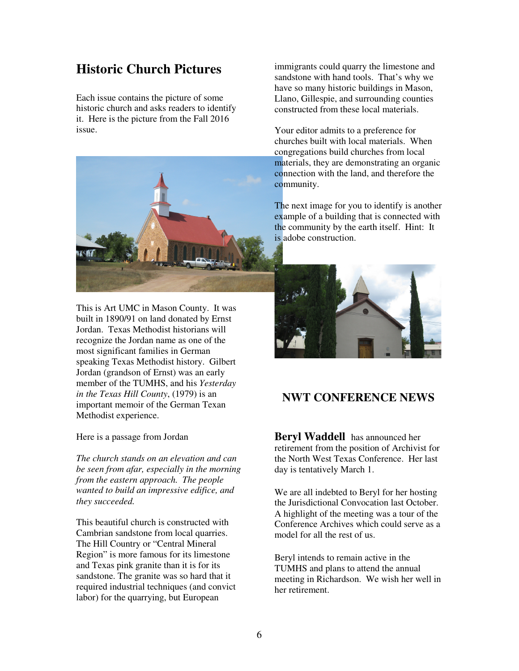# **Historic Church Pictures**

Each issue contains the picture of some historic church and asks readers to identify it. Here is the picture from the Fall 2016 issue.



This is Art UMC in Mason County. It was built in 1890/91 on land donated by Ernst Jordan. Texas Methodist historians will recognize the Jordan name as one of the most significant families in German speaking Texas Methodist history. Gilbert Jordan (grandson of Ernst) was an early member of the TUMHS, and his *Yesterday in the Texas Hill County*, (1979) is an important memoir of the German Texan Methodist experience.

Here is a passage from Jordan

*The church stands on an elevation and can be seen from afar, especially in the morning from the eastern approach. The people wanted to build an impressive edifice, and they succeeded.* 

This beautiful church is constructed with Cambrian sandstone from local quarries. The Hill Country or "Central Mineral Region" is more famous for its limestone and Texas pink granite than it is for its sandstone. The granite was so hard that it required industrial techniques (and convict labor) for the quarrying, but European

immigrants could quarry the limestone and sandstone with hand tools. That's why we have so many historic buildings in Mason, Llano, Gillespie, and surrounding counties constructed from these local materials.

Your editor admits to a preference for churches built with local materials. When congregations build churches from local materials, they are demonstrating an organic connection with the land, and therefore the community.

The next image for you to identify is another example of a building that is connected with the community by the earth itself. Hint: It is adobe construction.



# **NWT CONFERENCE NEWS**

**Beryl Waddell** has announced her retirement from the position of Archivist for the North West Texas Conference. Her last day is tentatively March 1.

We are all indebted to Beryl for her hosting the Jurisdictional Convocation last October. A highlight of the meeting was a tour of the Conference Archives which could serve as a model for all the rest of us.

Beryl intends to remain active in the TUMHS and plans to attend the annual meeting in Richardson. We wish her well in her retirement.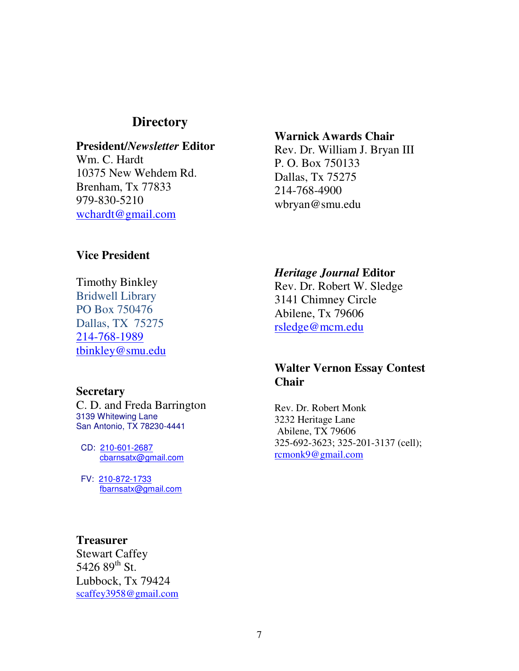# **Directory**

## **President/***Newsletter* **Editor**

Wm. C. Hardt 10375 New Wehdem Rd. Brenham, Tx 77833 979-830-5210 wchardt@gmail.com

#### **Warnick Awards Chair**

Rev. Dr. William J. Bryan III P. O. Box 750133 Dallas, Tx 75275 214-768-4900 wbryan@smu.edu

# **Vice President**

Timothy Binkley Bridwell Library PO Box 750476 Dallas, TX 75275 214-768-1989 tbinkley@smu.edu

#### **Secretary**

C. D. and Freda Barrington 3139 Whitewing Lane San Antonio, TX 78230-4441

 CD: 210-601-2687 cbarnsatx@gmail.com

 FV: 210-872-1733 fbarnsatx@gmail.com

#### *Heritage Journal* **Editor**

Rev. Dr. Robert W. Sledge 3141 Chimney Circle Abilene, Tx 79606 rsledge@mcm.edu

# **Walter Vernon Essay Contest Chair**

Rev. Dr. Robert Monk 3232 Heritage Lane Abilene, TX 79606 325-692-3623; 325-201-3137 (cell); rcmonk9@gmail.com

#### **Treasurer**

Stewart Caffey 5426  $89^{th}$  St. Lubbock, Tx 79424 scaffey3958@gmail.com